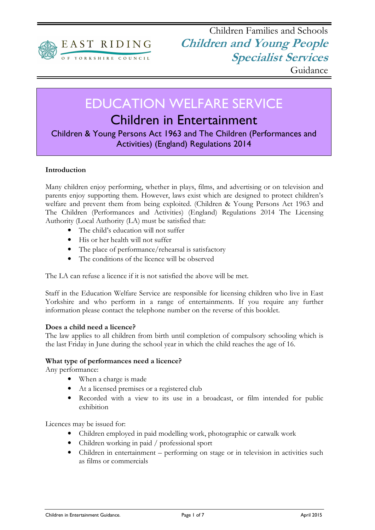

# EDUCATION WELFARE SERVICE

# Children in Entertainment

Children & Young Persons Act 1963 and The Children (Performances and Activities) (England) Regulations 2014

# Introduction

Many children enjoy performing, whether in plays, films, and advertising or on television and parents enjoy supporting them. However, laws exist which are designed to protect children's welfare and prevent them from being exploited. (Children & Young Persons Act 1963 and The Children (Performances and Activities) (England) Regulations 2014 The Licensing Authority (Local Authority (LA) must be satisfied that:

- The child's education will not suffer
- His or her health will not suffer
- The place of performance/rehearsal is satisfactory
- The conditions of the licence will be observed

The LA can refuse a licence if it is not satisfied the above will be met.

Staff in the Education Welfare Service are responsible for licensing children who live in East Yorkshire and who perform in a range of entertainments. If you require any further information please contact the telephone number on the reverse of this booklet.

#### Does a child need a licence?

The law applies to all children from birth until completion of compulsory schooling which is the last Friday in June during the school year in which the child reaches the age of 16.

#### What type of performances need a licence?

Any performance:

- When a charge is made
- At a licensed premises or a registered club
- Recorded with a view to its use in a broadcast, or film intended for public exhibition

Licences may be issued for:

- Children employed in paid modelling work, photographic or catwalk work
- Children working in paid / professional sport
- Children in entertainment performing on stage or in television in activities such as films or commercials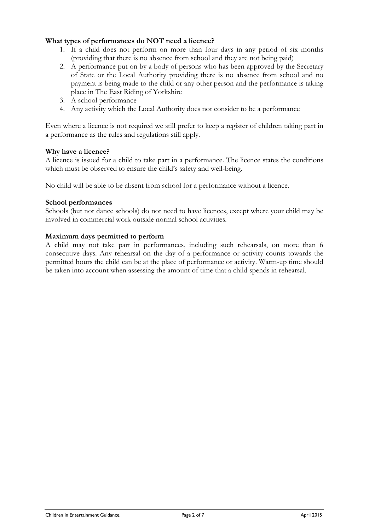# What types of performances do NOT need a licence?

- 1. If a child does not perform on more than four days in any period of six months (providing that there is no absence from school and they are not being paid)
- 2. A performance put on by a body of persons who has been approved by the Secretary of State or the Local Authority providing there is no absence from school and no payment is being made to the child or any other person and the performance is taking place in The East Riding of Yorkshire
- 3. A school performance
- 4. Any activity which the Local Authority does not consider to be a performance

Even where a licence is not required we still prefer to keep a register of children taking part in a performance as the rules and regulations still apply.

# Why have a licence?

A licence is issued for a child to take part in a performance. The licence states the conditions which must be observed to ensure the child's safety and well-being.

No child will be able to be absent from school for a performance without a licence.

# School performances

Schools (but not dance schools) do not need to have licences, except where your child may be involved in commercial work outside normal school activities.

# Maximum days permitted to perform

A child may not take part in performances, including such rehearsals, on more than 6 consecutive days. Any rehearsal on the day of a performance or activity counts towards the permitted hours the child can be at the place of performance or activity. Warm-up time should be taken into account when assessing the amount of time that a child spends in rehearsal.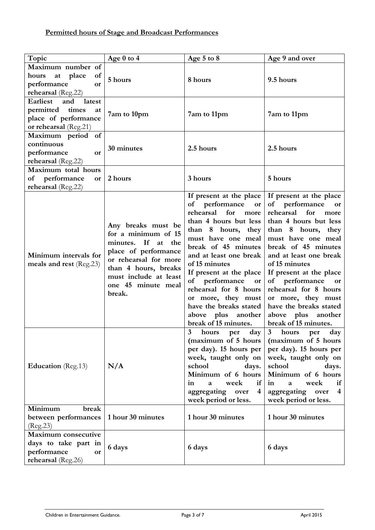| Topic                                                                                                      | Age 0 to 4                                                                                                                                                                                        | Age 5 to 8                                                                                                                                                                                                                                                                                                                                                                                   | Age 9 and over                                                                                                                                                                                                                                                                                                                                                                               |
|------------------------------------------------------------------------------------------------------------|---------------------------------------------------------------------------------------------------------------------------------------------------------------------------------------------------|----------------------------------------------------------------------------------------------------------------------------------------------------------------------------------------------------------------------------------------------------------------------------------------------------------------------------------------------------------------------------------------------|----------------------------------------------------------------------------------------------------------------------------------------------------------------------------------------------------------------------------------------------------------------------------------------------------------------------------------------------------------------------------------------------|
| Maximum number of<br>of<br>at place<br>hours<br>performance<br><b>or</b><br>rehearsal (Reg.22)             | 5 hours                                                                                                                                                                                           | 8 hours                                                                                                                                                                                                                                                                                                                                                                                      | 9.5 hours                                                                                                                                                                                                                                                                                                                                                                                    |
| <b>Earliest</b><br>latest<br>and<br>permitted times<br>at<br>place of performance<br>or rehearsal (Reg.21) | 7am to 10pm                                                                                                                                                                                       | 7am to 11pm                                                                                                                                                                                                                                                                                                                                                                                  | 7am to 11pm                                                                                                                                                                                                                                                                                                                                                                                  |
| Maximum period of<br>continuous<br>performance<br>or<br>rehearsal (Reg.22)                                 | 30 minutes                                                                                                                                                                                        | 2.5 hours                                                                                                                                                                                                                                                                                                                                                                                    | 2.5 hours                                                                                                                                                                                                                                                                                                                                                                                    |
| Maximum total hours<br>performance<br>of<br>or<br>rehearsal (Reg.22)                                       | 2 hours                                                                                                                                                                                           | 3 hours                                                                                                                                                                                                                                                                                                                                                                                      | 5 hours                                                                                                                                                                                                                                                                                                                                                                                      |
| Minimum intervals for<br>meals and rest (Reg.23)                                                           | Any breaks must be<br>for a minimum of 15<br>minutes. If at the<br>place of performance<br>or rehearsal for more<br>than 4 hours, breaks<br>must include at least<br>one 45 minute meal<br>break. | If present at the place<br>of performance<br>or<br>rehearsal<br>for<br>more<br>than 4 hours but less<br>than 8 hours, they<br>must have one meal<br>break of 45 minutes<br>and at least one break<br>of 15 minutes<br>If present at the place<br>of performance<br>or<br>rehearsal for 8 hours<br>or more, they must<br>have the breaks stated<br>above plus another<br>break of 15 minutes. | If present at the place<br>of performance<br>or<br>rehearsal<br>for<br>more<br>than 4 hours but less<br>than 8 hours, they<br>must have one meal<br>break of 45 minutes<br>and at least one break<br>of 15 minutes<br>If present at the place<br>of performance<br>or<br>rehearsal for 8 hours<br>or more, they must<br>have the breaks stated<br>above plus another<br>break of 15 minutes. |
| <b>Education</b> (Reg.13)                                                                                  | N/A                                                                                                                                                                                               | $\overline{\mathbf{3}}$<br>day<br>hours<br>per<br>(maximum of 5 hours<br>per day). 15 hours per<br>week, taught only on<br>school<br>days.<br>Minimum of 6 hours<br>in<br>if<br>week<br>a<br>aggregating<br>4<br>over<br>week period or less.                                                                                                                                                | $\mathbf{3}$<br>hours<br>day<br>per<br>(maximum of 5 hours)<br>per day). 15 hours per<br>week, taught only on<br>school<br>days.<br>Minimum of 6 hours<br>in<br>week<br>if<br>$\mathbf{a}$<br>aggregating<br>over<br>4<br>week period or less.                                                                                                                                               |
| break<br>Minimum<br>between performances<br>(Reg. 23)                                                      | 1 hour 30 minutes                                                                                                                                                                                 | 1 hour 30 minutes                                                                                                                                                                                                                                                                                                                                                                            | 1 hour 30 minutes                                                                                                                                                                                                                                                                                                                                                                            |
| Maximum consecutive<br>days to take part in<br>performance<br>or<br>rehearsal (Reg.26)                     | 6 days                                                                                                                                                                                            | 6 days                                                                                                                                                                                                                                                                                                                                                                                       | 6 days                                                                                                                                                                                                                                                                                                                                                                                       |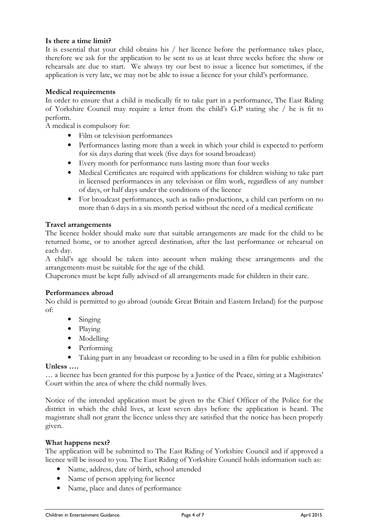# Is there a time limit?

It is essential that your child obtains his / her licence before the performance takes place, therefore we ask for the application to be sent to us at least three weeks before the show or rehearsals are due to start. We always try our best to issue a licence but sometimes, if the application is very late, we may not be able to issue a licence for your child's performance.

#### Medical requirements

In order to ensure that a child is medically fit to take part in a performance, The East Riding of Yorkshire Council may require a letter from the child's G.P stating she / he is fit to perform.

A medical is compulsory for:

- Film or television performances
- Performances lasting more than a week in which your child is expected to perform for six days during that week (five days for sound broadcast)
- Every month for performance runs lasting more than four weeks
- Medical Certificates are required with applications for children wishing to take part in licensed performances in any television or film work, regardless of any number of days, or half days under the conditions of the licence
- For broadcast performances, such as radio productions, a child can perform on no more than 6 days in a six month period without the need of a medical certificate

#### Travel arrangements

The licence holder should make sure that suitable arrangements are made for the child to be returned home, or to another agreed destination, after the last performance or rehearsal on each day.

A child's age should be taken into account when making these arrangements and the arrangements must be suitable for the age of the child.

Chaperones must be kept fully advised of all arrangements made for children in their care.

#### Performances abroad

No child is permitted to go abroad (outside Great Britain and Eastern Ireland) for the purpose of:

- Singing
- Playing
- Modelling
- Performing
- Taking part in any broadcast or recording to be used in a film for public exhibition

#### Unless ….

… a licence has been granted for this purpose by a Justice of the Peace, sitting at a Magistrates' Court within the area of where the child normally lives.

Notice of the intended application must be given to the Chief Officer of the Police for the district in which the child lives, at least seven days before the application is heard. The magistrate shall not grant the licence unless they are satisfied that the notice has been properly given.

#### What happens next?

The application will be submitted to The East Riding of Yorkshire Council and if approved a licence will be issued to you. The East Riding of Yorkshire Council holds information such as:

- Name, address, date of birth, school attended
- Name of person applying for licence
- Name, place and dates of performance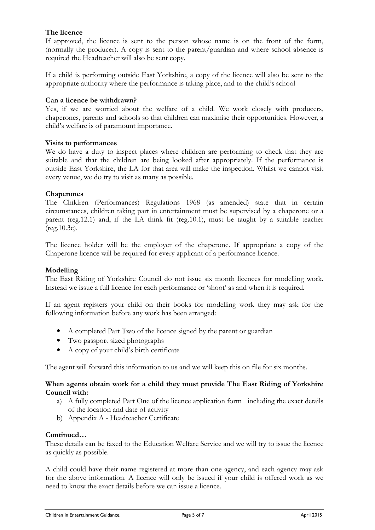# The licence

If approved, the licence is sent to the person whose name is on the front of the form, (normally the producer). A copy is sent to the parent/guardian and where school absence is required the Headteacher will also be sent copy.

If a child is performing outside East Yorkshire, a copy of the licence will also be sent to the appropriate authority where the performance is taking place, and to the child's school

#### Can a licence be withdrawn?

Yes, if we are worried about the welfare of a child. We work closely with producers, chaperones, parents and schools so that children can maximise their opportunities. However, a child's welfare is of paramount importance.

#### Visits to performances

We do have a duty to inspect places where children are performing to check that they are suitable and that the children are being looked after appropriately. If the performance is outside East Yorkshire, the LA for that area will make the inspection. Whilst we cannot visit every venue, we do try to visit as many as possible.

#### Chaperones

The Children (Performances) Regulations 1968 (as amended) state that in certain circumstances, children taking part in entertainment must be supervised by a chaperone or a parent (reg.12.1) and, if the LA think fit (reg.10.1), must be taught by a suitable teacher (reg.10.3c).

The licence holder will be the employer of the chaperone. If appropriate a copy of the Chaperone licence will be required for every applicant of a performance licence.

#### Modelling

The East Riding of Yorkshire Council do not issue six month licences for modelling work. Instead we issue a full licence for each performance or 'shoot' as and when it is required.

If an agent registers your child on their books for modelling work they may ask for the following information before any work has been arranged:

- A completed Part Two of the licence signed by the parent or guardian
- Two passport sized photographs
- A copy of your child's birth certificate

The agent will forward this information to us and we will keep this on file for six months.

#### When agents obtain work for a child they must provide The East Riding of Yorkshire Council with:

- a) A fully completed Part One of the licence application form including the exact details of the location and date of activity
- b) Appendix A Headteacher Certificate

#### Continued…

These details can be faxed to the Education Welfare Service and we will try to issue the licence as quickly as possible.

A child could have their name registered at more than one agency, and each agency may ask for the above information. A licence will only be issued if your child is offered work as we need to know the exact details before we can issue a licence.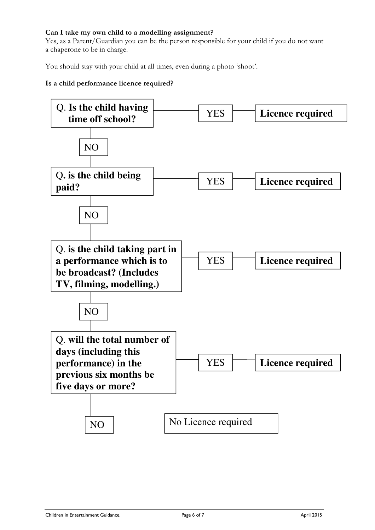# Can I take my own child to a modelling assignment?

Yes, as a Parent/Guardian you can be the person responsible for your child if you do not want a chaperone to be in charge.

You should stay with your child at all times, even during a photo 'shoot'.

# Is a child performance licence required?